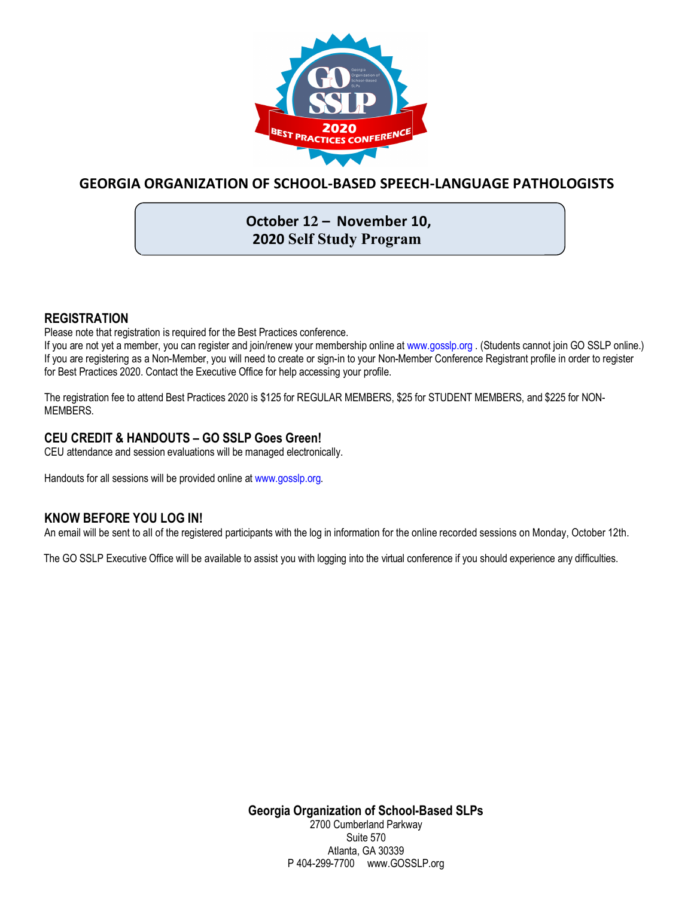

# **GEORGIA ORGANIZATION OF SCHOOL-BASED SPEECH-LANGUAGE PATHOLOGISTS**

# **October 12 – November 10, 2020 Self Study Program**

#### **REGISTRATION**

Please note that registration is required for the Best Practices conference.

If you are not yet a member, you can register and join/renew your membership online at www.gosslp.org . (Students cannot join GO SSLP online.) If you are registering as a Non-Member, you will need to create or sign-in to your Non-Member Conference Registrant profile in order to register for Best Practices 2020. Contact the Executive Office for help accessing your profile.

The registration fee to attend Best Practices 2020 is \$125 for REGULAR MEMBERS, \$25 for STUDENT MEMBERS, and \$225 for NON-MEMBERS.

#### **CEU CREDIT & HANDOUTS – GO SSLP Goes Green!**

CEU attendance and session evaluations will be managed electronically.

Handouts for all sessions will be provided online at www.gosslp.org.

### **KNOW BEFORE YOU LOG IN!**

An email will be sent to all of the registered participants with the log in information for the online recorded sessions on Monday, October 12th.

The GO SSLP Executive Office will be available to assist you with logging into the virtual conference if you should experience any difficulties.

**Georgia Organization of School-Based SLPs** 2700 Cumberland Parkway Suite 570 Atlanta, GA 30339 P 404-299-7700 www.GOSSLP.org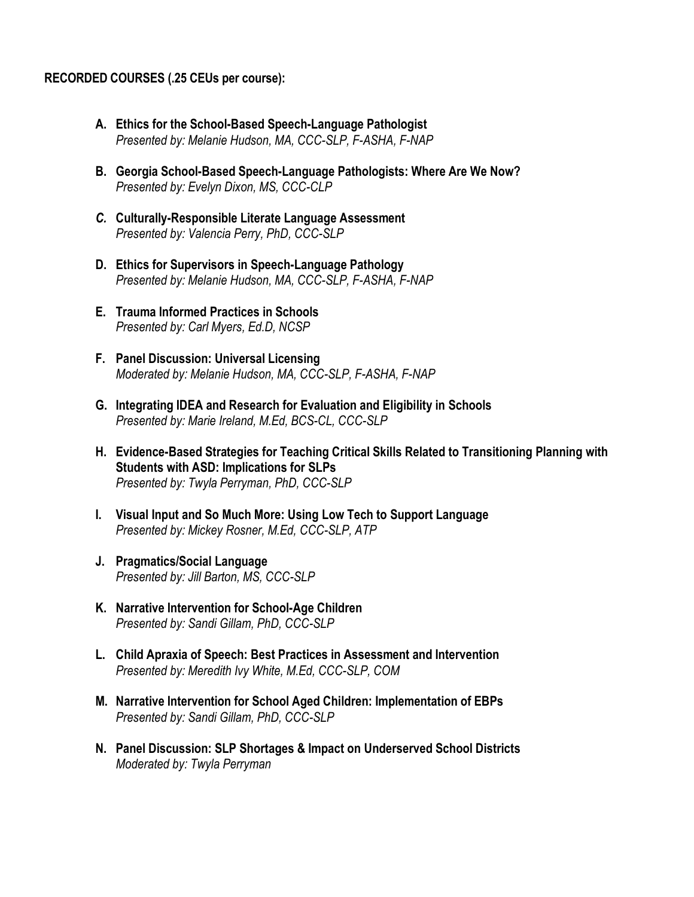#### **RECORDED COURSES (.25 CEUs per course):**

- **A. Ethics for the School-Based Speech-Language Pathologist** *Presented by: Melanie Hudson, MA, CCC-SLP, F-ASHA, F-NAP*
- **B. Georgia School-Based Speech-Language Pathologists: Where Are We Now?** *Presented by: Evelyn Dixon, MS, CCC-CLP*
- *C.* **Culturally-Responsible Literate Language Assessment** *Presented by: Valencia Perry, PhD, CCC-SLP*
- **D. Ethics for Supervisors in Speech-Language Pathology** *Presented by: Melanie Hudson, MA, CCC-SLP, F-ASHA, F-NAP*
- **E. Trauma Informed Practices in Schools** *Presented by: Carl Myers, Ed.D, NCSP*
- **F. Panel Discussion: Universal Licensing** *Moderated by: Melanie Hudson, MA, CCC-SLP, F-ASHA, F-NAP*
- **G. Integrating IDEA and Research for Evaluation and Eligibility in Schools** *Presented by: Marie Ireland, M.Ed, BCS-CL, CCC-SLP*
- **H. Evidence-Based Strategies for Teaching Critical Skills Related to Transitioning Planning with Students with ASD: Implications for SLPs** *Presented by: Twyla Perryman, PhD, CCC-SLP*
- **I. Visual Input and So Much More: Using Low Tech to Support Language** *Presented by: Mickey Rosner, M.Ed, CCC-SLP, ATP*
- **J. Pragmatics/Social Language** *Presented by: Jill Barton, MS, CCC-SLP*
- **K. Narrative Intervention for School-Age Children** *Presented by: Sandi Gillam, PhD, CCC-SLP*
- **L. Child Apraxia of Speech: Best Practices in Assessment and Intervention** *Presented by: Meredith Ivy White, M.Ed, CCC-SLP, COM*
- **M. Narrative Intervention for School Aged Children: Implementation of EBPs** *Presented by: Sandi Gillam, PhD, CCC-SLP*
- **N. Panel Discussion: SLP Shortages & Impact on Underserved School Districts** *Moderated by: Twyla Perryman*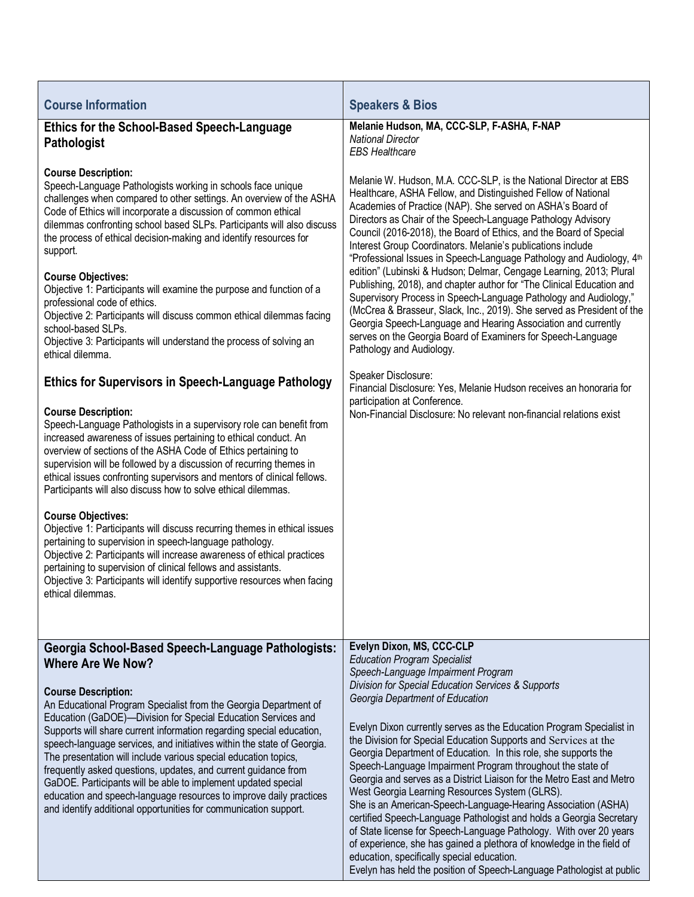| <b>Course Information</b>                                                                                                                                                                                                                                                                                                                                                                                                                                                                                                                                                                                                                                                                               | <b>Speakers &amp; Bios</b>                                                                                                                                                                                                                                                                                                                                                                                                                                                                                                                                                                                                                                                                                                                                                                                                                                                                                                                       |
|---------------------------------------------------------------------------------------------------------------------------------------------------------------------------------------------------------------------------------------------------------------------------------------------------------------------------------------------------------------------------------------------------------------------------------------------------------------------------------------------------------------------------------------------------------------------------------------------------------------------------------------------------------------------------------------------------------|--------------------------------------------------------------------------------------------------------------------------------------------------------------------------------------------------------------------------------------------------------------------------------------------------------------------------------------------------------------------------------------------------------------------------------------------------------------------------------------------------------------------------------------------------------------------------------------------------------------------------------------------------------------------------------------------------------------------------------------------------------------------------------------------------------------------------------------------------------------------------------------------------------------------------------------------------|
| <b>Ethics for the School-Based Speech-Language</b><br><b>Pathologist</b>                                                                                                                                                                                                                                                                                                                                                                                                                                                                                                                                                                                                                                | Melanie Hudson, MA, CCC-SLP, F-ASHA, F-NAP<br><b>National Director</b><br><b>EBS Healthcare</b>                                                                                                                                                                                                                                                                                                                                                                                                                                                                                                                                                                                                                                                                                                                                                                                                                                                  |
| <b>Course Description:</b><br>Speech-Language Pathologists working in schools face unique<br>challenges when compared to other settings. An overview of the ASHA<br>Code of Ethics will incorporate a discussion of common ethical<br>dilemmas confronting school based SLPs. Participants will also discuss<br>the process of ethical decision-making and identify resources for<br>support.                                                                                                                                                                                                                                                                                                           | Melanie W. Hudson, M.A. CCC-SLP, is the National Director at EBS<br>Healthcare, ASHA Fellow, and Distinguished Fellow of National<br>Academies of Practice (NAP). She served on ASHA's Board of<br>Directors as Chair of the Speech-Language Pathology Advisory<br>Council (2016-2018), the Board of Ethics, and the Board of Special<br>Interest Group Coordinators. Melanie's publications include<br>"Professional Issues in Speech-Language Pathology and Audiology, 4 <sup>th</sup><br>edition" (Lubinski & Hudson; Delmar, Cengage Learning, 2013; Plural                                                                                                                                                                                                                                                                                                                                                                                  |
| <b>Course Objectives:</b><br>Objective 1: Participants will examine the purpose and function of a<br>professional code of ethics.<br>Objective 2: Participants will discuss common ethical dilemmas facing<br>school-based SLPs.<br>Objective 3: Participants will understand the process of solving an<br>ethical dilemma.                                                                                                                                                                                                                                                                                                                                                                             | Publishing, 2018), and chapter author for "The Clinical Education and<br>Supervisory Process in Speech-Language Pathology and Audiology,"<br>(McCrea & Brasseur, Slack, Inc., 2019). She served as President of the<br>Georgia Speech-Language and Hearing Association and currently<br>serves on the Georgia Board of Examiners for Speech-Language<br>Pathology and Audiology.                                                                                                                                                                                                                                                                                                                                                                                                                                                                                                                                                                 |
| <b>Ethics for Supervisors in Speech-Language Pathology</b>                                                                                                                                                                                                                                                                                                                                                                                                                                                                                                                                                                                                                                              | Speaker Disclosure:<br>Financial Disclosure: Yes, Melanie Hudson receives an honoraria for                                                                                                                                                                                                                                                                                                                                                                                                                                                                                                                                                                                                                                                                                                                                                                                                                                                       |
| <b>Course Description:</b><br>Speech-Language Pathologists in a supervisory role can benefit from<br>increased awareness of issues pertaining to ethical conduct. An<br>overview of sections of the ASHA Code of Ethics pertaining to<br>supervision will be followed by a discussion of recurring themes in<br>ethical issues confronting supervisors and mentors of clinical fellows.<br>Participants will also discuss how to solve ethical dilemmas.<br><b>Course Objectives:</b><br>Objective 1: Participants will discuss recurring themes in ethical issues<br>pertaining to supervision in speech-language pathology.<br>Objective 2: Participants will increase awareness of ethical practices | participation at Conference.<br>Non-Financial Disclosure: No relevant non-financial relations exist                                                                                                                                                                                                                                                                                                                                                                                                                                                                                                                                                                                                                                                                                                                                                                                                                                              |
| pertaining to supervision of clinical fellows and assistants.<br>Objective 3: Participants will identify supportive resources when facing<br>ethical dilemmas.                                                                                                                                                                                                                                                                                                                                                                                                                                                                                                                                          |                                                                                                                                                                                                                                                                                                                                                                                                                                                                                                                                                                                                                                                                                                                                                                                                                                                                                                                                                  |
|                                                                                                                                                                                                                                                                                                                                                                                                                                                                                                                                                                                                                                                                                                         |                                                                                                                                                                                                                                                                                                                                                                                                                                                                                                                                                                                                                                                                                                                                                                                                                                                                                                                                                  |
| Georgia School-Based Speech-Language Pathologists:<br><b>Where Are We Now?</b>                                                                                                                                                                                                                                                                                                                                                                                                                                                                                                                                                                                                                          | Evelyn Dixon, MS, CCC-CLP<br><b>Education Program Specialist</b>                                                                                                                                                                                                                                                                                                                                                                                                                                                                                                                                                                                                                                                                                                                                                                                                                                                                                 |
| <b>Course Description:</b><br>An Educational Program Specialist from the Georgia Department of<br>Education (GaDOE)-Division for Special Education Services and<br>Supports will share current information regarding special education,<br>speech-language services, and initiatives within the state of Georgia.<br>The presentation will include various special education topics,<br>frequently asked questions, updates, and current guidance from<br>GaDOE. Participants will be able to implement updated special<br>education and speech-language resources to improve daily practices<br>and identify additional opportunities for communication support.                                       | Speech-Language Impairment Program<br>Division for Special Education Services & Supports<br>Georgia Department of Education<br>Evelyn Dixon currently serves as the Education Program Specialist in<br>the Division for Special Education Supports and Services at the<br>Georgia Department of Education. In this role, she supports the<br>Speech-Language Impairment Program throughout the state of<br>Georgia and serves as a District Liaison for the Metro East and Metro<br>West Georgia Learning Resources System (GLRS).<br>She is an American-Speech-Language-Hearing Association (ASHA)<br>certified Speech-Language Pathologist and holds a Georgia Secretary<br>of State license for Speech-Language Pathology. With over 20 years<br>of experience, she has gained a plethora of knowledge in the field of<br>education, specifically special education.<br>Evelyn has held the position of Speech-Language Pathologist at public |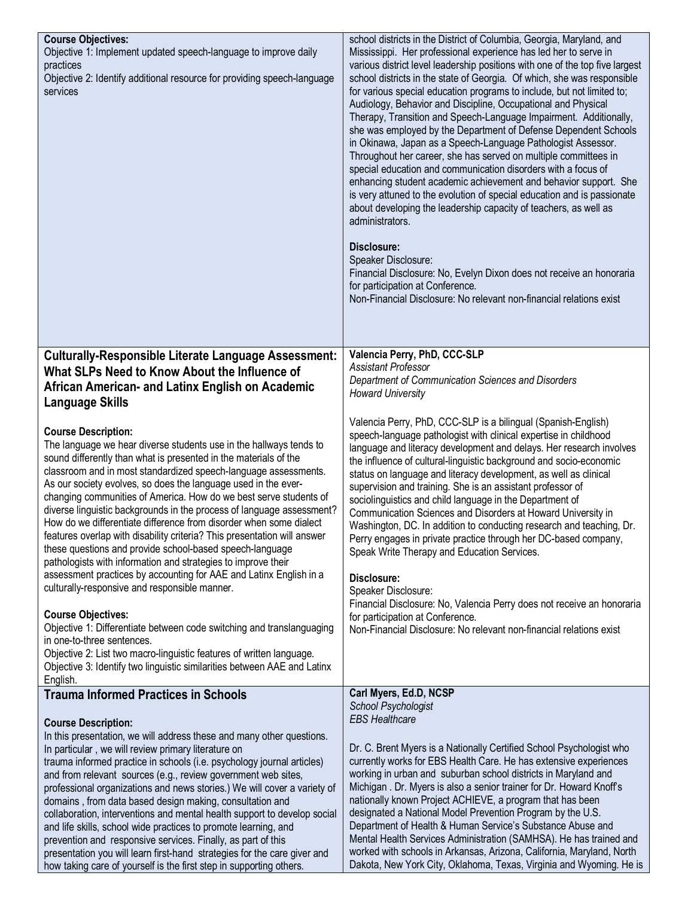| <b>Course Objectives:</b><br>Objective 1: Implement updated speech-language to improve daily<br>practices<br>Objective 2: Identify additional resource for providing speech-language<br>services                                                                                                                                                                                                                                                                                                                                                                                                                                                                                                                                                                                                                                                                                                                                                                                                                                                                                                                                                                  | school districts in the District of Columbia, Georgia, Maryland, and<br>Mississippi. Her professional experience has led her to serve in<br>various district level leadership positions with one of the top five largest<br>school districts in the state of Georgia. Of which, she was responsible<br>for various special education programs to include, but not limited to;<br>Audiology, Behavior and Discipline, Occupational and Physical<br>Therapy, Transition and Speech-Language Impairment. Additionally,<br>she was employed by the Department of Defense Dependent Schools<br>in Okinawa, Japan as a Speech-Language Pathologist Assessor.<br>Throughout her career, she has served on multiple committees in<br>special education and communication disorders with a focus of<br>enhancing student academic achievement and behavior support. She<br>is very attuned to the evolution of special education and is passionate<br>about developing the leadership capacity of teachers, as well as<br>administrators.<br>Disclosure:<br>Speaker Disclosure:<br>Financial Disclosure: No, Evelyn Dixon does not receive an honoraria<br>for participation at Conference.<br>Non-Financial Disclosure: No relevant non-financial relations exist |
|-------------------------------------------------------------------------------------------------------------------------------------------------------------------------------------------------------------------------------------------------------------------------------------------------------------------------------------------------------------------------------------------------------------------------------------------------------------------------------------------------------------------------------------------------------------------------------------------------------------------------------------------------------------------------------------------------------------------------------------------------------------------------------------------------------------------------------------------------------------------------------------------------------------------------------------------------------------------------------------------------------------------------------------------------------------------------------------------------------------------------------------------------------------------|-----------------------------------------------------------------------------------------------------------------------------------------------------------------------------------------------------------------------------------------------------------------------------------------------------------------------------------------------------------------------------------------------------------------------------------------------------------------------------------------------------------------------------------------------------------------------------------------------------------------------------------------------------------------------------------------------------------------------------------------------------------------------------------------------------------------------------------------------------------------------------------------------------------------------------------------------------------------------------------------------------------------------------------------------------------------------------------------------------------------------------------------------------------------------------------------------------------------------------------------------------------|
| <b>Culturally-Responsible Literate Language Assessment:</b>                                                                                                                                                                                                                                                                                                                                                                                                                                                                                                                                                                                                                                                                                                                                                                                                                                                                                                                                                                                                                                                                                                       | Valencia Perry, PhD, CCC-SLP                                                                                                                                                                                                                                                                                                                                                                                                                                                                                                                                                                                                                                                                                                                                                                                                                                                                                                                                                                                                                                                                                                                                                                                                                              |
| What SLPs Need to Know About the Influence of<br>African American- and Latinx English on Academic<br><b>Language Skills</b>                                                                                                                                                                                                                                                                                                                                                                                                                                                                                                                                                                                                                                                                                                                                                                                                                                                                                                                                                                                                                                       | <b>Assistant Professor</b><br>Department of Communication Sciences and Disorders<br><b>Howard University</b>                                                                                                                                                                                                                                                                                                                                                                                                                                                                                                                                                                                                                                                                                                                                                                                                                                                                                                                                                                                                                                                                                                                                              |
| <b>Course Description:</b><br>The language we hear diverse students use in the hallways tends to<br>sound differently than what is presented in the materials of the<br>classroom and in most standardized speech-language assessments.<br>As our society evolves, so does the language used in the ever-<br>changing communities of America. How do we best serve students of<br>diverse linguistic backgrounds in the process of language assessment?<br>How do we differentiate difference from disorder when some dialect<br>features overlap with disability criteria? This presentation will answer<br>these questions and provide school-based speech-language<br>pathologists with information and strategies to improve their<br>assessment practices by accounting for AAE and Latinx English in a<br>culturally-responsive and responsible manner.<br><b>Course Objectives:</b><br>Objective 1: Differentiate between code switching and translanguaging<br>in one-to-three sentences.<br>Objective 2: List two macro-linguistic features of written language.<br>Objective 3: Identify two linguistic similarities between AAE and Latinx<br>English. | Valencia Perry, PhD, CCC-SLP is a bilingual (Spanish-English)<br>speech-language pathologist with clinical expertise in childhood<br>language and literacy development and delays. Her research involves<br>the influence of cultural-linguistic background and socio-economic<br>status on language and literacy development, as well as clinical<br>supervision and training. She is an assistant professor of<br>sociolinguistics and child language in the Department of<br>Communication Sciences and Disorders at Howard University in<br>Washington, DC. In addition to conducting research and teaching, Dr.<br>Perry engages in private practice through her DC-based company,<br>Speak Write Therapy and Education Services.<br>Disclosure:<br>Speaker Disclosure:<br>Financial Disclosure: No, Valencia Perry does not receive an honoraria<br>for participation at Conference.<br>Non-Financial Disclosure: No relevant non-financial relations exist                                                                                                                                                                                                                                                                                         |
| <b>Trauma Informed Practices in Schools</b>                                                                                                                                                                                                                                                                                                                                                                                                                                                                                                                                                                                                                                                                                                                                                                                                                                                                                                                                                                                                                                                                                                                       | Carl Myers, Ed.D, NCSP                                                                                                                                                                                                                                                                                                                                                                                                                                                                                                                                                                                                                                                                                                                                                                                                                                                                                                                                                                                                                                                                                                                                                                                                                                    |
| <b>Course Description:</b>                                                                                                                                                                                                                                                                                                                                                                                                                                                                                                                                                                                                                                                                                                                                                                                                                                                                                                                                                                                                                                                                                                                                        | School Psychologist<br><b>EBS Healthcare</b>                                                                                                                                                                                                                                                                                                                                                                                                                                                                                                                                                                                                                                                                                                                                                                                                                                                                                                                                                                                                                                                                                                                                                                                                              |
| In this presentation, we will address these and many other questions.<br>In particular, we will review primary literature on<br>trauma informed practice in schools (i.e. psychology journal articles)<br>and from relevant sources (e.g., review government web sites,<br>professional organizations and news stories.) We will cover a variety of<br>domains, from data based design making, consultation and<br>collaboration, interventions and mental health support to develop social<br>and life skills, school wide practices to promote learning, and<br>prevention and responsive services. Finally, as part of this<br>presentation you will learn first-hand strategies for the care giver and<br>how taking care of yourself is the first step in supporting others.                                                                                                                                                                                                                                                                                                                                                                                 | Dr. C. Brent Myers is a Nationally Certified School Psychologist who<br>currently works for EBS Health Care. He has extensive experiences<br>working in urban and suburban school districts in Maryland and<br>Michigan . Dr. Myers is also a senior trainer for Dr. Howard Knoff's<br>nationally known Project ACHIEVE, a program that has been<br>designated a National Model Prevention Program by the U.S.<br>Department of Health & Human Service's Substance Abuse and<br>Mental Health Services Administration (SAMHSA). He has trained and<br>worked with schools in Arkansas, Arizona, California, Maryland, North<br>Dakota, New York City, Oklahoma, Texas, Virginia and Wyoming. He is                                                                                                                                                                                                                                                                                                                                                                                                                                                                                                                                                        |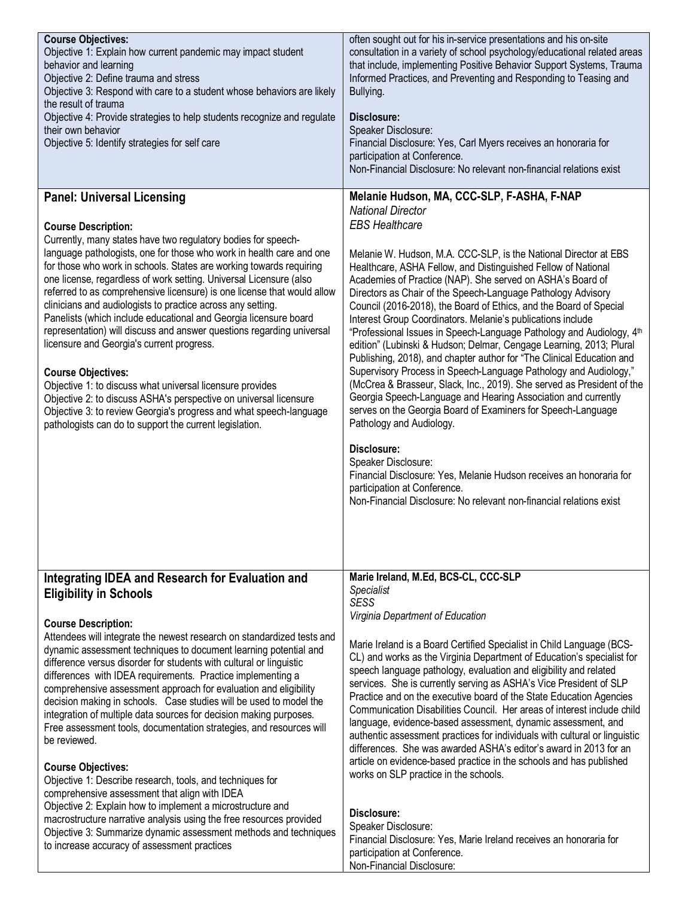| <b>Course Objectives:</b><br>Objective 1: Explain how current pandemic may impact student<br>behavior and learning<br>Objective 2: Define trauma and stress<br>Objective 3: Respond with care to a student whose behaviors are likely<br>the result of trauma<br>Objective 4: Provide strategies to help students recognize and regulate<br>their own behavior<br>Objective 5: Identify strategies for self care                                                                                                                                                                                                                                                                                                                                                                                                                                                                                                                                                                                                                                                                                               | often sought out for his in-service presentations and his on-site<br>consultation in a variety of school psychology/educational related areas<br>that include, implementing Positive Behavior Support Systems, Trauma<br>Informed Practices, and Preventing and Responding to Teasing and<br>Bullying.<br>Disclosure:<br>Speaker Disclosure:<br>Financial Disclosure: Yes, Carl Myers receives an honoraria for<br>participation at Conference.<br>Non-Financial Disclosure: No relevant non-financial relations exist                                                                                                                                                                                                                                                                                                                                                                                                                                                                                                                                                                                                                                                                                                                                                     |
|----------------------------------------------------------------------------------------------------------------------------------------------------------------------------------------------------------------------------------------------------------------------------------------------------------------------------------------------------------------------------------------------------------------------------------------------------------------------------------------------------------------------------------------------------------------------------------------------------------------------------------------------------------------------------------------------------------------------------------------------------------------------------------------------------------------------------------------------------------------------------------------------------------------------------------------------------------------------------------------------------------------------------------------------------------------------------------------------------------------|----------------------------------------------------------------------------------------------------------------------------------------------------------------------------------------------------------------------------------------------------------------------------------------------------------------------------------------------------------------------------------------------------------------------------------------------------------------------------------------------------------------------------------------------------------------------------------------------------------------------------------------------------------------------------------------------------------------------------------------------------------------------------------------------------------------------------------------------------------------------------------------------------------------------------------------------------------------------------------------------------------------------------------------------------------------------------------------------------------------------------------------------------------------------------------------------------------------------------------------------------------------------------|
| <b>Panel: Universal Licensing</b><br><b>Course Description:</b><br>Currently, many states have two regulatory bodies for speech-<br>language pathologists, one for those who work in health care and one<br>for those who work in schools. States are working towards requiring<br>one license, regardless of work setting. Universal Licensure (also<br>referred to as comprehensive licensure) is one license that would allow<br>clinicians and audiologists to practice across any setting.<br>Panelists (which include educational and Georgia licensure board<br>representation) will discuss and answer questions regarding universal<br>licensure and Georgia's current progress.<br><b>Course Objectives:</b><br>Objective 1: to discuss what universal licensure provides<br>Objective 2: to discuss ASHA's perspective on universal licensure<br>Objective 3: to review Georgia's progress and what speech-language<br>pathologists can do to support the current legislation.                                                                                                                      | Melanie Hudson, MA, CCC-SLP, F-ASHA, F-NAP<br><b>National Director</b><br><b>EBS Healthcare</b><br>Melanie W. Hudson, M.A. CCC-SLP, is the National Director at EBS<br>Healthcare, ASHA Fellow, and Distinguished Fellow of National<br>Academies of Practice (NAP). She served on ASHA's Board of<br>Directors as Chair of the Speech-Language Pathology Advisory<br>Council (2016-2018), the Board of Ethics, and the Board of Special<br>Interest Group Coordinators. Melanie's publications include<br>"Professional Issues in Speech-Language Pathology and Audiology, 4 <sup>th</sup><br>edition" (Lubinski & Hudson; Delmar, Cengage Learning, 2013; Plural<br>Publishing, 2018), and chapter author for "The Clinical Education and<br>Supervisory Process in Speech-Language Pathology and Audiology,"<br>(McCrea & Brasseur, Slack, Inc., 2019). She served as President of the<br>Georgia Speech-Language and Hearing Association and currently<br>serves on the Georgia Board of Examiners for Speech-Language<br>Pathology and Audiology.<br>Disclosure:<br>Speaker Disclosure:<br>Financial Disclosure: Yes, Melanie Hudson receives an honoraria for<br>participation at Conference.<br>Non-Financial Disclosure: No relevant non-financial relations exist |
| Integrating IDEA and Research for Evaluation and<br><b>Eligibility in Schools</b><br><b>Course Description:</b><br>Attendees will integrate the newest research on standardized tests and<br>dynamic assessment techniques to document learning potential and<br>difference versus disorder for students with cultural or linguistic<br>differences with IDEA requirements. Practice implementing a<br>comprehensive assessment approach for evaluation and eligibility<br>decision making in schools. Case studies will be used to model the<br>integration of multiple data sources for decision making purposes.<br>Free assessment tools, documentation strategies, and resources will<br>be reviewed.<br><b>Course Objectives:</b><br>Objective 1: Describe research, tools, and techniques for<br>comprehensive assessment that align with IDEA<br>Objective 2: Explain how to implement a microstructure and<br>macrostructure narrative analysis using the free resources provided<br>Objective 3: Summarize dynamic assessment methods and techniques<br>to increase accuracy of assessment practices | Marie Ireland, M.Ed, BCS-CL, CCC-SLP<br><b>Specialist</b><br><b>SESS</b><br>Virginia Department of Education<br>Marie Ireland is a Board Certified Specialist in Child Language (BCS-<br>CL) and works as the Virginia Department of Education's specialist for<br>speech language pathology, evaluation and eligibility and related<br>services. She is currently serving as ASHA's Vice President of SLP<br>Practice and on the executive board of the State Education Agencies<br>Communication Disabilities Council. Her areas of interest include child<br>language, evidence-based assessment, dynamic assessment, and<br>authentic assessment practices for individuals with cultural or linguistic<br>differences. She was awarded ASHA's editor's award in 2013 for an<br>article on evidence-based practice in the schools and has published<br>works on SLP practice in the schools.<br>Disclosure:<br>Speaker Disclosure:<br>Financial Disclosure: Yes, Marie Ireland receives an honoraria for<br>participation at Conference.<br>Non-Financial Disclosure:                                                                                                                                                                                                   |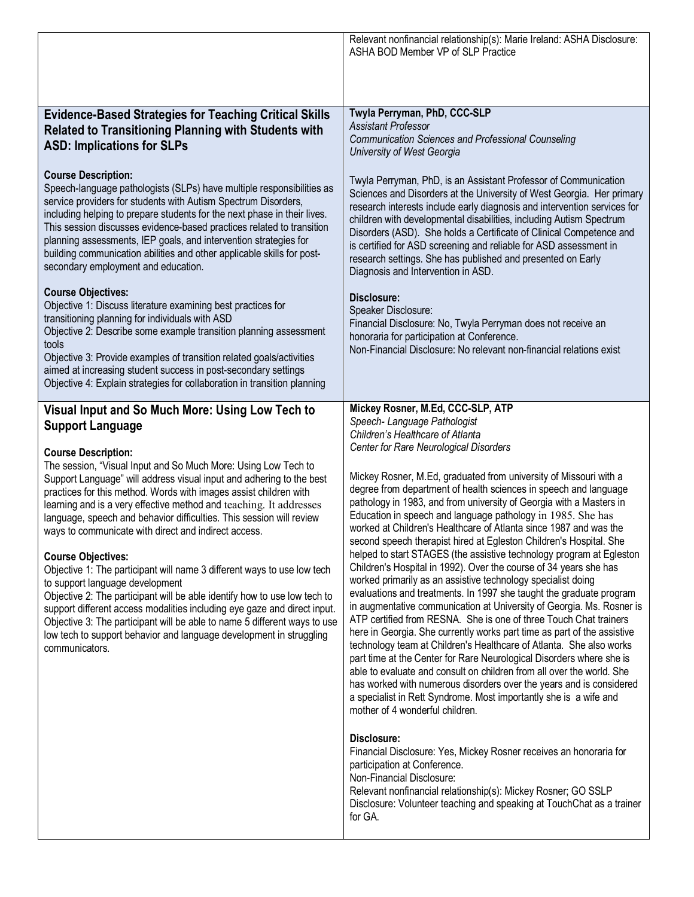|                                                                                                                                                                                                                                                                                                                                                                                                                                                                                                                                                                                                                                                                                                                                                                                                                                                                                                                                                                                                                                                                                      | Relevant nonfinancial relationship(s): Marie Ireland: ASHA Disclosure:<br>ASHA BOD Member VP of SLP Practice                                                                                                                                                                                                                                                                                                                                                                                                                                                                                                                                                                                                                                                                                                                                                                                                                                                                                                                                                                                                                                                                                                                                                                                                                                                                                                                                                                                                                                                                                                                                                                                                                                                                                         |
|--------------------------------------------------------------------------------------------------------------------------------------------------------------------------------------------------------------------------------------------------------------------------------------------------------------------------------------------------------------------------------------------------------------------------------------------------------------------------------------------------------------------------------------------------------------------------------------------------------------------------------------------------------------------------------------------------------------------------------------------------------------------------------------------------------------------------------------------------------------------------------------------------------------------------------------------------------------------------------------------------------------------------------------------------------------------------------------|------------------------------------------------------------------------------------------------------------------------------------------------------------------------------------------------------------------------------------------------------------------------------------------------------------------------------------------------------------------------------------------------------------------------------------------------------------------------------------------------------------------------------------------------------------------------------------------------------------------------------------------------------------------------------------------------------------------------------------------------------------------------------------------------------------------------------------------------------------------------------------------------------------------------------------------------------------------------------------------------------------------------------------------------------------------------------------------------------------------------------------------------------------------------------------------------------------------------------------------------------------------------------------------------------------------------------------------------------------------------------------------------------------------------------------------------------------------------------------------------------------------------------------------------------------------------------------------------------------------------------------------------------------------------------------------------------------------------------------------------------------------------------------------------------|
| <b>Evidence-Based Strategies for Teaching Critical Skills</b><br><b>Related to Transitioning Planning with Students with</b><br><b>ASD: Implications for SLPs</b><br><b>Course Description:</b><br>Speech-language pathologists (SLPs) have multiple responsibilities as<br>service providers for students with Autism Spectrum Disorders,<br>including helping to prepare students for the next phase in their lives.<br>This session discusses evidence-based practices related to transition<br>planning assessments, IEP goals, and intervention strategies for<br>building communication abilities and other applicable skills for post-<br>secondary employment and education.<br><b>Course Objectives:</b><br>Objective 1: Discuss literature examining best practices for<br>transitioning planning for individuals with ASD<br>Objective 2: Describe some example transition planning assessment<br>tools<br>Objective 3: Provide examples of transition related goals/activities<br>aimed at increasing student success in post-secondary settings                         | Twyla Perryman, PhD, CCC-SLP<br><b>Assistant Professor</b><br><b>Communication Sciences and Professional Counseling</b><br>University of West Georgia<br>Twyla Perryman, PhD, is an Assistant Professor of Communication<br>Sciences and Disorders at the University of West Georgia. Her primary<br>research interests include early diagnosis and intervention services for<br>children with developmental disabilities, including Autism Spectrum<br>Disorders (ASD). She holds a Certificate of Clinical Competence and<br>is certified for ASD screening and reliable for ASD assessment in<br>research settings. She has published and presented on Early<br>Diagnosis and Intervention in ASD.<br>Disclosure:<br>Speaker Disclosure:<br>Financial Disclosure: No, Twyla Perryman does not receive an<br>honoraria for participation at Conference.<br>Non-Financial Disclosure: No relevant non-financial relations exist                                                                                                                                                                                                                                                                                                                                                                                                                                                                                                                                                                                                                                                                                                                                                                                                                                                                     |
| Objective 4: Explain strategies for collaboration in transition planning<br>Visual Input and So Much More: Using Low Tech to<br><b>Support Language</b><br><b>Course Description:</b><br>The session, "Visual Input and So Much More: Using Low Tech to<br>Support Language" will address visual input and adhering to the best<br>practices for this method. Words with images assist children with<br>learning and is a very effective method and teaching. It addresses<br>language, speech and behavior difficulties. This session will review<br>ways to communicate with direct and indirect access.<br><b>Course Objectives:</b><br>Objective 1: The participant will name 3 different ways to use low tech<br>to support language development<br>Objective 2: The participant will be able identify how to use low tech to<br>support different access modalities including eye gaze and direct input.<br>Objective 3: The participant will be able to name 5 different ways to use<br>low tech to support behavior and language development in struggling<br>communicators. | Mickey Rosner, M.Ed, CCC-SLP, ATP<br>Speech- Language Pathologist<br>Children's Healthcare of Atlanta<br>Center for Rare Neurological Disorders<br>Mickey Rosner, M.Ed, graduated from university of Missouri with a<br>degree from department of health sciences in speech and language<br>pathology in 1983, and from university of Georgia with a Masters in<br>Education in speech and language pathology in 1985. She has<br>worked at Children's Healthcare of Atlanta since 1987 and was the<br>second speech therapist hired at Egleston Children's Hospital. She<br>helped to start STAGES (the assistive technology program at Egleston<br>Children's Hospital in 1992). Over the course of 34 years she has<br>worked primarily as an assistive technology specialist doing<br>evaluations and treatments. In 1997 she taught the graduate program<br>in augmentative communication at University of Georgia. Ms. Rosner is<br>ATP certified from RESNA. She is one of three Touch Chat trainers<br>here in Georgia. She currently works part time as part of the assistive<br>technology team at Children's Healthcare of Atlanta. She also works<br>part time at the Center for Rare Neurological Disorders where she is<br>able to evaluate and consult on children from all over the world. She<br>has worked with numerous disorders over the years and is considered<br>a specialist in Rett Syndrome. Most importantly she is a wife and<br>mother of 4 wonderful children.<br>Disclosure:<br>Financial Disclosure: Yes, Mickey Rosner receives an honoraria for<br>participation at Conference.<br>Non-Financial Disclosure:<br>Relevant nonfinancial relationship(s): Mickey Rosner; GO SSLP<br>Disclosure: Volunteer teaching and speaking at TouchChat as a trainer<br>for GA. |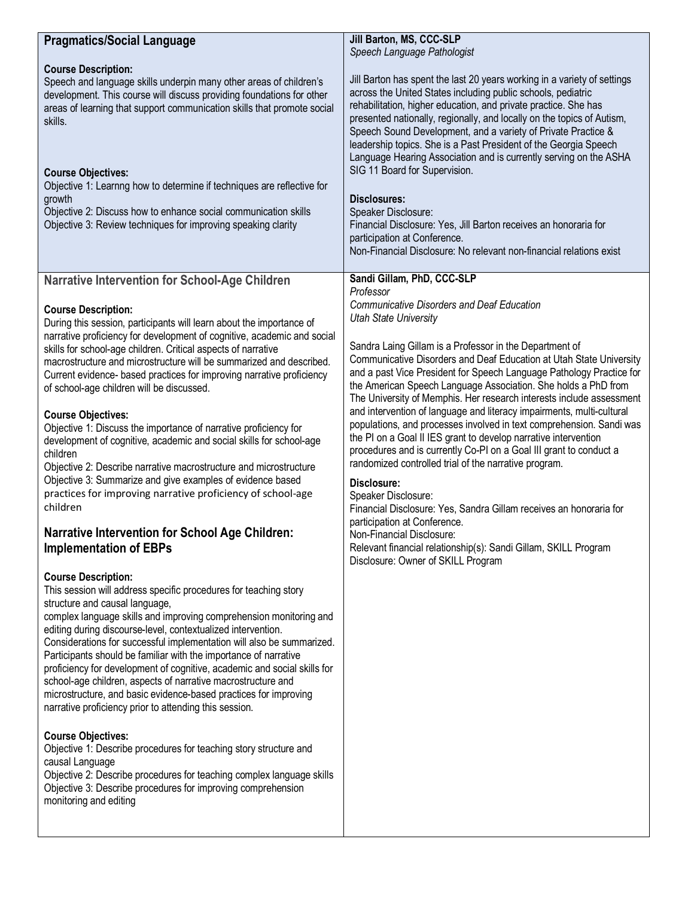| <b>Pragmatics/Social Language</b>                                                                                                                                                                                                                                                                                                                                                                                                                                                                                    | Jill Barton, MS, CCC-SLP<br>Speech Language Pathologist                                                                                                                                                                                                                                                                                                                                                                                                                                                                                                                                                                                                                                                                                            |
|----------------------------------------------------------------------------------------------------------------------------------------------------------------------------------------------------------------------------------------------------------------------------------------------------------------------------------------------------------------------------------------------------------------------------------------------------------------------------------------------------------------------|----------------------------------------------------------------------------------------------------------------------------------------------------------------------------------------------------------------------------------------------------------------------------------------------------------------------------------------------------------------------------------------------------------------------------------------------------------------------------------------------------------------------------------------------------------------------------------------------------------------------------------------------------------------------------------------------------------------------------------------------------|
| <b>Course Description:</b><br>Speech and language skills underpin many other areas of children's<br>development. This course will discuss providing foundations for other<br>areas of learning that support communication skills that promote social<br>skills.<br><b>Course Objectives:</b><br>Objective 1: Learnng how to determine if techniques are reflective for<br>growth<br>Objective 2: Discuss how to enhance social communication skills<br>Objective 3: Review techniques for improving speaking clarity | Jill Barton has spent the last 20 years working in a variety of settings<br>across the United States including public schools, pediatric<br>rehabilitation, higher education, and private practice. She has<br>presented nationally, regionally, and locally on the topics of Autism,<br>Speech Sound Development, and a variety of Private Practice &<br>leadership topics. She is a Past President of the Georgia Speech<br>Language Hearing Association and is currently serving on the ASHA<br>SIG 11 Board for Supervision.<br>Disclosures:<br>Speaker Disclosure:<br>Financial Disclosure: Yes, Jill Barton receives an honoraria for<br>participation at Conference.<br>Non-Financial Disclosure: No relevant non-financial relations exist |
| <b>Narrative Intervention for School-Age Children</b>                                                                                                                                                                                                                                                                                                                                                                                                                                                                | Sandi Gillam, PhD, CCC-SLP                                                                                                                                                                                                                                                                                                                                                                                                                                                                                                                                                                                                                                                                                                                         |
|                                                                                                                                                                                                                                                                                                                                                                                                                                                                                                                      | Professor                                                                                                                                                                                                                                                                                                                                                                                                                                                                                                                                                                                                                                                                                                                                          |
| <b>Course Description:</b>                                                                                                                                                                                                                                                                                                                                                                                                                                                                                           | <b>Communicative Disorders and Deaf Education</b><br><b>Utah State University</b>                                                                                                                                                                                                                                                                                                                                                                                                                                                                                                                                                                                                                                                                  |
| During this session, participants will learn about the importance of<br>narrative proficiency for development of cognitive, academic and social                                                                                                                                                                                                                                                                                                                                                                      |                                                                                                                                                                                                                                                                                                                                                                                                                                                                                                                                                                                                                                                                                                                                                    |
| skills for school-age children. Critical aspects of narrative                                                                                                                                                                                                                                                                                                                                                                                                                                                        | Sandra Laing Gillam is a Professor in the Department of                                                                                                                                                                                                                                                                                                                                                                                                                                                                                                                                                                                                                                                                                            |
| macrostructure and microstructure will be summarized and described.<br>Current evidence- based practices for improving narrative proficiency                                                                                                                                                                                                                                                                                                                                                                         | Communicative Disorders and Deaf Education at Utah State University<br>and a past Vice President for Speech Language Pathology Practice for                                                                                                                                                                                                                                                                                                                                                                                                                                                                                                                                                                                                        |
| of school-age children will be discussed.                                                                                                                                                                                                                                                                                                                                                                                                                                                                            | the American Speech Language Association. She holds a PhD from                                                                                                                                                                                                                                                                                                                                                                                                                                                                                                                                                                                                                                                                                     |
|                                                                                                                                                                                                                                                                                                                                                                                                                                                                                                                      | The University of Memphis. Her research interests include assessment<br>and intervention of language and literacy impairments, multi-cultural                                                                                                                                                                                                                                                                                                                                                                                                                                                                                                                                                                                                      |
| <b>Course Objectives:</b><br>Objective 1: Discuss the importance of narrative proficiency for                                                                                                                                                                                                                                                                                                                                                                                                                        | populations, and processes involved in text comprehension. Sandi was                                                                                                                                                                                                                                                                                                                                                                                                                                                                                                                                                                                                                                                                               |
| development of cognitive, academic and social skills for school-age                                                                                                                                                                                                                                                                                                                                                                                                                                                  | the PI on a Goal II IES grant to develop narrative intervention<br>procedures and is currently Co-PI on a Goal III grant to conduct a                                                                                                                                                                                                                                                                                                                                                                                                                                                                                                                                                                                                              |
| children<br>Objective 2: Describe narrative macrostructure and microstructure                                                                                                                                                                                                                                                                                                                                                                                                                                        | randomized controlled trial of the narrative program.                                                                                                                                                                                                                                                                                                                                                                                                                                                                                                                                                                                                                                                                                              |
| Objective 3: Summarize and give examples of evidence based                                                                                                                                                                                                                                                                                                                                                                                                                                                           | Disclosure:                                                                                                                                                                                                                                                                                                                                                                                                                                                                                                                                                                                                                                                                                                                                        |
| practices for improving narrative proficiency of school-age<br>children                                                                                                                                                                                                                                                                                                                                                                                                                                              | Speaker Disclosure:<br>Financial Disclosure: Yes, Sandra Gillam receives an honoraria for                                                                                                                                                                                                                                                                                                                                                                                                                                                                                                                                                                                                                                                          |
|                                                                                                                                                                                                                                                                                                                                                                                                                                                                                                                      | participation at Conference.                                                                                                                                                                                                                                                                                                                                                                                                                                                                                                                                                                                                                                                                                                                       |
| <b>Narrative Intervention for School Age Children:</b><br><b>Implementation of EBPs</b>                                                                                                                                                                                                                                                                                                                                                                                                                              | Non-Financial Disclosure:<br>Relevant financial relationship(s): Sandi Gillam, SKILL Program                                                                                                                                                                                                                                                                                                                                                                                                                                                                                                                                                                                                                                                       |
|                                                                                                                                                                                                                                                                                                                                                                                                                                                                                                                      | Disclosure: Owner of SKILL Program                                                                                                                                                                                                                                                                                                                                                                                                                                                                                                                                                                                                                                                                                                                 |
| <b>Course Description:</b>                                                                                                                                                                                                                                                                                                                                                                                                                                                                                           |                                                                                                                                                                                                                                                                                                                                                                                                                                                                                                                                                                                                                                                                                                                                                    |
| This session will address specific procedures for teaching story<br>structure and causal language,                                                                                                                                                                                                                                                                                                                                                                                                                   |                                                                                                                                                                                                                                                                                                                                                                                                                                                                                                                                                                                                                                                                                                                                                    |
| complex language skills and improving comprehension monitoring and                                                                                                                                                                                                                                                                                                                                                                                                                                                   |                                                                                                                                                                                                                                                                                                                                                                                                                                                                                                                                                                                                                                                                                                                                                    |
| editing during discourse-level, contextualized intervention.<br>Considerations for successful implementation will also be summarized.                                                                                                                                                                                                                                                                                                                                                                                |                                                                                                                                                                                                                                                                                                                                                                                                                                                                                                                                                                                                                                                                                                                                                    |
| Participants should be familiar with the importance of narrative                                                                                                                                                                                                                                                                                                                                                                                                                                                     |                                                                                                                                                                                                                                                                                                                                                                                                                                                                                                                                                                                                                                                                                                                                                    |
| proficiency for development of cognitive, academic and social skills for<br>school-age children, aspects of narrative macrostructure and                                                                                                                                                                                                                                                                                                                                                                             |                                                                                                                                                                                                                                                                                                                                                                                                                                                                                                                                                                                                                                                                                                                                                    |
| microstructure, and basic evidence-based practices for improving                                                                                                                                                                                                                                                                                                                                                                                                                                                     |                                                                                                                                                                                                                                                                                                                                                                                                                                                                                                                                                                                                                                                                                                                                                    |
| narrative proficiency prior to attending this session.                                                                                                                                                                                                                                                                                                                                                                                                                                                               |                                                                                                                                                                                                                                                                                                                                                                                                                                                                                                                                                                                                                                                                                                                                                    |
| <b>Course Objectives:</b>                                                                                                                                                                                                                                                                                                                                                                                                                                                                                            |                                                                                                                                                                                                                                                                                                                                                                                                                                                                                                                                                                                                                                                                                                                                                    |
| Objective 1: Describe procedures for teaching story structure and                                                                                                                                                                                                                                                                                                                                                                                                                                                    |                                                                                                                                                                                                                                                                                                                                                                                                                                                                                                                                                                                                                                                                                                                                                    |
| causal Language<br>Objective 2: Describe procedures for teaching complex language skills                                                                                                                                                                                                                                                                                                                                                                                                                             |                                                                                                                                                                                                                                                                                                                                                                                                                                                                                                                                                                                                                                                                                                                                                    |
| Objective 3: Describe procedures for improving comprehension                                                                                                                                                                                                                                                                                                                                                                                                                                                         |                                                                                                                                                                                                                                                                                                                                                                                                                                                                                                                                                                                                                                                                                                                                                    |
| monitoring and editing                                                                                                                                                                                                                                                                                                                                                                                                                                                                                               |                                                                                                                                                                                                                                                                                                                                                                                                                                                                                                                                                                                                                                                                                                                                                    |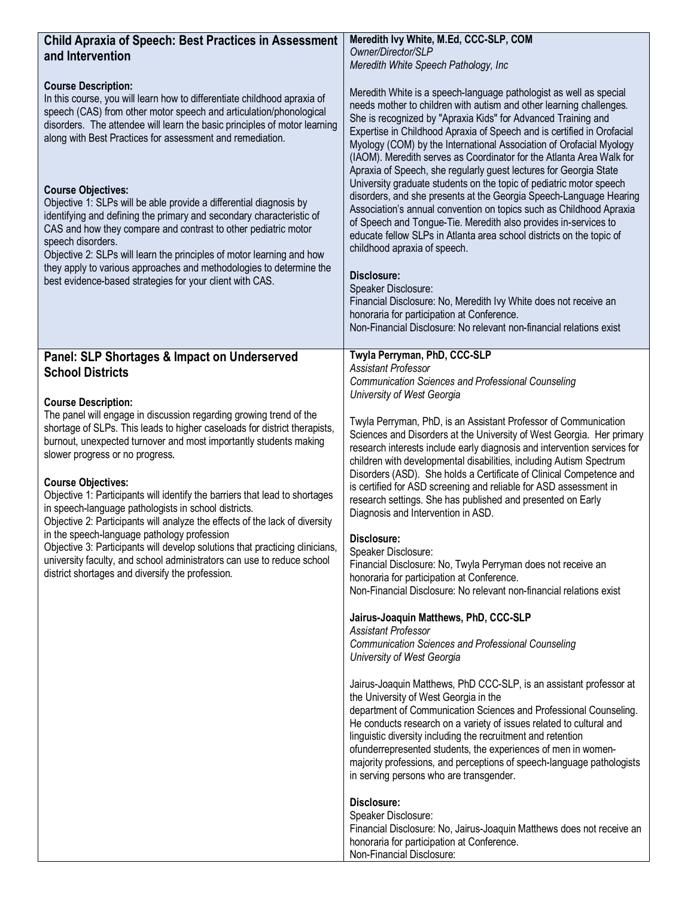| <b>Child Apraxia of Speech: Best Practices in Assessment</b><br>and Intervention                                                                                                                                                                                                                                                                                                                                                                                                                                                                                                                                                                                                                                                                                                                                                                                                | Meredith Ivy White, M.Ed, CCC-SLP, COM<br>Owner/Director/SLP                                                                                                                                                                                                                                                                                                                                                                                                                                                                                                                                                                                                                                                                                                                                                                                                                                                                                                                                                                                                                                                                                                                                                                                                                                                                                                                                                                                                                                                                                                                                                                                                                                                                                                                                                 |
|---------------------------------------------------------------------------------------------------------------------------------------------------------------------------------------------------------------------------------------------------------------------------------------------------------------------------------------------------------------------------------------------------------------------------------------------------------------------------------------------------------------------------------------------------------------------------------------------------------------------------------------------------------------------------------------------------------------------------------------------------------------------------------------------------------------------------------------------------------------------------------|--------------------------------------------------------------------------------------------------------------------------------------------------------------------------------------------------------------------------------------------------------------------------------------------------------------------------------------------------------------------------------------------------------------------------------------------------------------------------------------------------------------------------------------------------------------------------------------------------------------------------------------------------------------------------------------------------------------------------------------------------------------------------------------------------------------------------------------------------------------------------------------------------------------------------------------------------------------------------------------------------------------------------------------------------------------------------------------------------------------------------------------------------------------------------------------------------------------------------------------------------------------------------------------------------------------------------------------------------------------------------------------------------------------------------------------------------------------------------------------------------------------------------------------------------------------------------------------------------------------------------------------------------------------------------------------------------------------------------------------------------------------------------------------------------------------|
| <b>Course Description:</b><br>In this course, you will learn how to differentiate childhood apraxia of<br>speech (CAS) from other motor speech and articulation/phonological<br>disorders. The attendee will learn the basic principles of motor learning<br>along with Best Practices for assessment and remediation.<br><b>Course Objectives:</b><br>Objective 1: SLPs will be able provide a differential diagnosis by<br>identifying and defining the primary and secondary characteristic of<br>CAS and how they compare and contrast to other pediatric motor<br>speech disorders.<br>Objective 2: SLPs will learn the principles of motor learning and how<br>they apply to various approaches and methodologies to determine the<br>best evidence-based strategies for your client with CAS.                                                                            | Meredith White Speech Pathology, Inc.<br>Meredith White is a speech-language pathologist as well as special<br>needs mother to children with autism and other learning challenges.<br>She is recognized by "Apraxia Kids" for Advanced Training and<br>Expertise in Childhood Apraxia of Speech and is certified in Orofacial<br>Myology (COM) by the International Association of Orofacial Myology<br>(IAOM). Meredith serves as Coordinator for the Atlanta Area Walk for<br>Apraxia of Speech, she regularly guest lectures for Georgia State<br>University graduate students on the topic of pediatric motor speech<br>disorders, and she presents at the Georgia Speech-Language Hearing<br>Association's annual convention on topics such as Childhood Apraxia<br>of Speech and Tongue-Tie. Meredith also provides in-services to<br>educate fellow SLPs in Atlanta area school districts on the topic of<br>childhood apraxia of speech.<br>Disclosure:<br>Speaker Disclosure:<br>Financial Disclosure: No, Meredith Ivy White does not receive an<br>honoraria for participation at Conference.<br>Non-Financial Disclosure: No relevant non-financial relations exist                                                                                                                                                                                                                                                                                                                                                                                                                                                                                                                                                                                                                              |
| Panel: SLP Shortages & Impact on Underserved<br><b>School Districts</b><br><b>Course Description:</b><br>The panel will engage in discussion regarding growing trend of the<br>shortage of SLPs. This leads to higher caseloads for district therapists,<br>burnout, unexpected turnover and most importantly students making<br>slower progress or no progress.<br><b>Course Objectives:</b><br>Objective 1: Participants will identify the barriers that lead to shortages<br>in speech-language pathologists in school districts.<br>Objective 2: Participants will analyze the effects of the lack of diversity<br>in the speech-language pathology profession<br>Objective 3: Participants will develop solutions that practicing dinicians,<br>university faculty, and school administrators can use to reduce school<br>district shortages and diversify the profession. | Twyla Perryman, PhD, CCC-SLP<br><b>Assistant Professor</b><br><b>Communication Sciences and Professional Counseling</b><br>University of West Georgia<br>Twyla Perryman, PhD, is an Assistant Professor of Communication<br>Sciences and Disorders at the University of West Georgia. Her primary<br>research interests include early diagnosis and intervention services for<br>children with developmental disabilities, including Autism Spectrum<br>Disorders (ASD). She holds a Certificate of Clinical Competence and<br>is certified for ASD screening and reliable for ASD assessment in<br>research settings. She has published and presented on Early<br>Diagnosis and Intervention in ASD.<br>Disclosure:<br>Speaker Disclosure:<br>Financial Disclosure: No, Twyla Perryman does not receive an<br>honoraria for participation at Conference.<br>Non-Financial Disclosure: No relevant non-financial relations exist<br>Jairus-Joaquin Matthews, PhD, CCC-SLP<br><b>Assistant Professor</b><br><b>Communication Sciences and Professional Counseling</b><br>University of West Georgia<br>Jairus-Joaquin Matthews, PhD CCC-SLP, is an assistant professor at<br>the University of West Georgia in the<br>department of Communication Sciences and Professional Counseling.<br>He conducts research on a variety of issues related to cultural and<br>linguistic diversity including the recruitment and retention<br>ofunderrepresented students, the experiences of men in women-<br>majority professions, and perceptions of speech-language pathologists<br>in serving persons who are transgender.<br>Disclosure:<br>Speaker Disclosure:<br>Financial Disclosure: No, Jairus-Joaquin Matthews does not receive an<br>honoraria for participation at Conference.<br>Non-Financial Disclosure: |